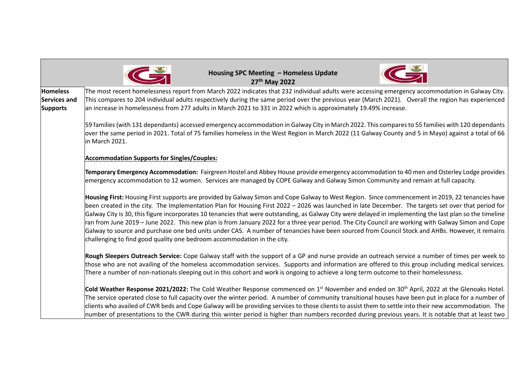|                                 | Housing SPC Meeting - Homeless Update<br>27th May 2022                                                                                                                                                                                                                                                                                                                                                                                                                                                                                                                                                                                                                                                                                                                                                                                                    |
|---------------------------------|-----------------------------------------------------------------------------------------------------------------------------------------------------------------------------------------------------------------------------------------------------------------------------------------------------------------------------------------------------------------------------------------------------------------------------------------------------------------------------------------------------------------------------------------------------------------------------------------------------------------------------------------------------------------------------------------------------------------------------------------------------------------------------------------------------------------------------------------------------------|
| <b>Homeless</b>                 | The most recent homelessness report from March 2022 indicates that 232 individual adults were accessing emergency accommodation in Galway City.                                                                                                                                                                                                                                                                                                                                                                                                                                                                                                                                                                                                                                                                                                           |
| Services and<br><b>Supports</b> | This compares to 204 individual adults respectively during the same period over the previous year (March 2021). Overall the region has experienced<br>an increase in homelessness from 277 adults in March 2021 to 331 in 2022 which is approximately 19.49% increase.                                                                                                                                                                                                                                                                                                                                                                                                                                                                                                                                                                                    |
|                                 | 59 families (with 131 dependants) accessed emergency accommodation in Galway City in March 2022. This compares to 55 families with 120 dependants<br>over the same period in 2021. Total of 75 families homeless in the West Region in March 2022 (11 Galway County and 5 in Mayo) against a total of 66<br>in March 2021.                                                                                                                                                                                                                                                                                                                                                                                                                                                                                                                                |
|                                 | <b>Accommodation Supports for Singles/Couples:</b>                                                                                                                                                                                                                                                                                                                                                                                                                                                                                                                                                                                                                                                                                                                                                                                                        |
|                                 | Temporary Emergency Accommodation: Fairgreen Hostel and Abbey House provide emergency accommodation to 40 men and Osterley Lodge provides<br>emergency accommodation to 12 women. Services are managed by COPE Galway and Galway Simon Community and remain at full capacity.                                                                                                                                                                                                                                                                                                                                                                                                                                                                                                                                                                             |
|                                 | Housing First: Housing First supports are provided by Galway Simon and Cope Galway to West Region. Since commencement in 2019, 22 tenancies have<br>been created in the city. The Implementation Plan for Housing First 2022 - 2026 was launched in late December. The targets set over that period for<br>Galway City is 30, this figure incorporates 10 tenancies that were outstanding, as Galway City were delayed in implementing the last plan so the timeline<br>ran from June 2019 – June 2022. This new plan is from January 2022 for a three year period. The City Council are working with Galway Simon and Cope<br>Galway to source and purchase one bed units under CAS. A number of tenancies have been sourced from Council Stock and AHBs. However, it remains<br>challenging to find good quality one bedroom accommodation in the city. |
|                                 | Rough Sleepers Outreach Service: Cope Galway staff with the support of a GP and nurse provide an outreach service a number of times per week to<br>those who are not availing of the homeless accommodation services. Supports and information are offered to this group including medical services.<br>There a number of non-nationals sleeping out in this cohort and work is ongoing to achieve a long term outcome to their homelessness.                                                                                                                                                                                                                                                                                                                                                                                                             |
|                                 | Cold Weather Response 2021/2022: The Cold Weather Response commenced on 1 <sup>st</sup> November and ended on 30 <sup>th</sup> April, 2022 at the Glenoaks Hotel.<br>The service operated close to full capacity over the winter period. A number of community transitional houses have been put in place for a number of<br>clients who availed of CWR beds and Cope Galway will be providing services to those clients to assist them to settle into their new accommodation. The<br>number of presentations to the CWR during this winter period is higher than numbers recorded during previous years. It is notable that at least two                                                                                                                                                                                                                |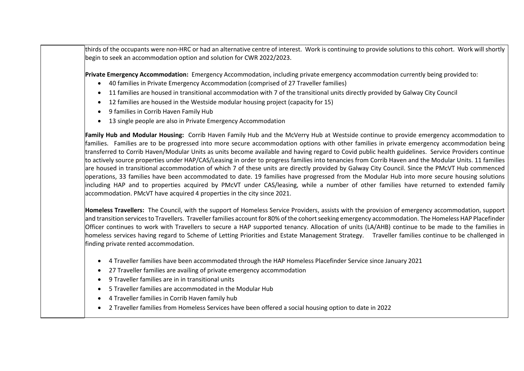thirds of the occupants were non-HRC or had an alternative centre of interest. Work is continuing to provide solutions to this cohort. Work will shortly begin to seek an accommodation option and solution for CWR 2022/2023.

**Private Emergency Accommodation:** Emergency Accommodation, including private emergency accommodation currently being provided to:

- 40 families in Private Emergency Accommodation (comprised of 27 Traveller families)
- 11 families are housed in transitional accommodation with 7 of the transitional units directly provided by Galway City Council
- 12 families are housed in the Westside modular housing project (capacity for 15)
- 9 families in Corrib Haven Family Hub
- 13 single people are also in Private Emergency Accommodation

**Family Hub and Modular Housing:** Corrib Haven Family Hub and the McVerry Hub at Westside continue to provide emergency accommodation to families. Families are to be progressed into more secure accommodation options with other families in private emergency accommodation being transferred to Corrib Haven/Modular Units as units become available and having regard to Covid public health guidelines. Service Providers continue to actively source properties under HAP/CAS/Leasing in order to progress families into tenancies from Corrib Haven and the Modular Units. 11 families are housed in transitional accommodation of which 7 of these units are directly provided by Galway City Council. Since the PMcVT Hub commenced operations, 33 families have been accommodated to date. 19 families have progressed from the Modular Hub into more secure housing solutions including HAP and to properties acquired by PMcVT under CAS/leasing, while a number of other families have returned to extended family accommodation. PMcVT have acquired 4 properties in the city since 2021.

**Homeless Travellers:** The Council, with the support of Homeless Service Providers, assists with the provision of emergency accommodation, support and transition services to Travellers. Traveller families account for 80% of the cohort seeking emergency accommodation. The Homeless HAP Placefinder Officer continues to work with Travellers to secure a HAP supported tenancy. Allocation of units (LA/AHB) continue to be made to the families in homeless services having regard to Scheme of Letting Priorities and Estate Management Strategy. Traveller families continue to be challenged in finding private rented accommodation.

- 4 Traveller families have been accommodated through the HAP Homeless Placefinder Service since January 2021
- 27 Traveller families are availing of private emergency accommodation
- 9 Traveller families are in in transitional units
- 5 Traveller families are accommodated in the Modular Hub
- 4 Traveller families in Corrib Haven family hub
- 2 Traveller families from Homeless Services have been offered a social housing option to date in 2022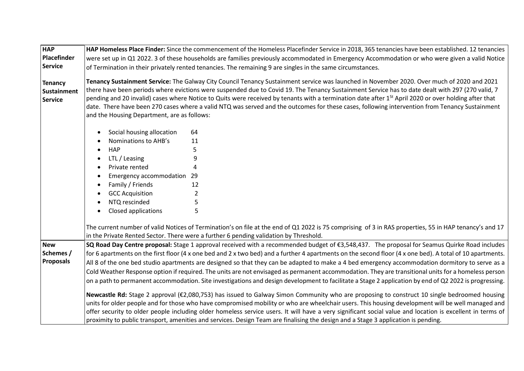| <b>HAP</b><br>Placefinder<br>Service                   | HAP Homeless Place Finder: Since the commencement of the Homeless Placefinder Service in 2018, 365 tenancies have been established. 12 tenancies<br>were set up in Q1 2022. 3 of these households are families previously accommodated in Emergency Accommodation or who were given a valid Notice<br>of Termination in their privately rented tenancies. The remaining 9 are singles in the same circumstances.                                                                                                                                                                                                                                                    |
|--------------------------------------------------------|---------------------------------------------------------------------------------------------------------------------------------------------------------------------------------------------------------------------------------------------------------------------------------------------------------------------------------------------------------------------------------------------------------------------------------------------------------------------------------------------------------------------------------------------------------------------------------------------------------------------------------------------------------------------|
| <b>Tenancy</b><br><b>Sustainment</b><br><b>Service</b> | Tenancy Sustainment Service: The Galway City Council Tenancy Sustainment service was launched in November 2020. Over much of 2020 and 2021<br>there have been periods where evictions were suspended due to Covid 19. The Tenancy Sustainment Service has to date dealt with 297 (270 valid, 7<br>pending and 20 invalid) cases where Notice to Quits were received by tenants with a termination date after 1 <sup>st</sup> April 2020 or over holding after that<br>date. There have been 270 cases where a valid NTQ was served and the outcomes for these cases, following intervention from Tenancy Sustainment<br>and the Housing Department, are as follows: |
|                                                        | Social housing allocation<br>64<br>$\bullet$                                                                                                                                                                                                                                                                                                                                                                                                                                                                                                                                                                                                                        |
|                                                        | Nominations to AHB's<br>11<br>$\bullet$                                                                                                                                                                                                                                                                                                                                                                                                                                                                                                                                                                                                                             |
|                                                        | <b>HAP</b><br>5<br>$\bullet$                                                                                                                                                                                                                                                                                                                                                                                                                                                                                                                                                                                                                                        |
|                                                        | 9<br>LTL / Leasing<br>$\bullet$                                                                                                                                                                                                                                                                                                                                                                                                                                                                                                                                                                                                                                     |
|                                                        | Private rented<br>4<br>$\bullet$                                                                                                                                                                                                                                                                                                                                                                                                                                                                                                                                                                                                                                    |
|                                                        | Emergency accommodation 29<br>$\bullet$                                                                                                                                                                                                                                                                                                                                                                                                                                                                                                                                                                                                                             |
|                                                        | Family / Friends<br>12<br>$\bullet$                                                                                                                                                                                                                                                                                                                                                                                                                                                                                                                                                                                                                                 |
|                                                        | $\overline{2}$<br><b>GCC Acquisition</b><br>$\bullet$                                                                                                                                                                                                                                                                                                                                                                                                                                                                                                                                                                                                               |
|                                                        | 5<br>NTQ rescinded<br>$\bullet$                                                                                                                                                                                                                                                                                                                                                                                                                                                                                                                                                                                                                                     |
|                                                        | 5<br>Closed applications<br>$\bullet$                                                                                                                                                                                                                                                                                                                                                                                                                                                                                                                                                                                                                               |
|                                                        | The current number of valid Notices of Termination's on file at the end of Q1 2022 is 75 comprising of 3 in RAS properties, 55 in HAP tenancy's and 17<br>in the Private Rented Sector. There were a further 6 pending validation by Threshold.                                                                                                                                                                                                                                                                                                                                                                                                                     |
| <b>New</b>                                             | SQ Road Day Centre proposal: Stage 1 approval received with a recommended budget of €3,548,437. The proposal for Seamus Quirke Road includes                                                                                                                                                                                                                                                                                                                                                                                                                                                                                                                        |
| Schemes /                                              | for 6 apartments on the first floor (4 x one bed and 2 x two bed) and a further 4 apartments on the second floor (4 x one bed). A total of 10 apartments.                                                                                                                                                                                                                                                                                                                                                                                                                                                                                                           |
| <b>Proposals</b>                                       | All 8 of the one bed studio apartments are designed so that they can be adapted to make a 4 bed emergency accommodation dormitory to serve as a                                                                                                                                                                                                                                                                                                                                                                                                                                                                                                                     |
|                                                        | Cold Weather Response option if required. The units are not envisaged as permanent accommodation. They are transitional units for a homeless person                                                                                                                                                                                                                                                                                                                                                                                                                                                                                                                 |
|                                                        | on a path to permanent accommodation. Site investigations and design development to facilitate a Stage 2 application by end of Q2 2022 is progressing.                                                                                                                                                                                                                                                                                                                                                                                                                                                                                                              |
|                                                        | Newcastle Rd: Stage 2 approval (€2,080,753) has issued to Galway Simon Community who are proposing to construct 10 single bedroomed housing<br>units for older people and for those who have compromised mobility or who are wheelchair users. This housing development will be well managed and<br>offer security to older people including older homeless service users. It will have a very significant social value and location is excellent in terms of<br>proximity to public transport, amenities and services. Design Team are finalising the design and a Stage 3 application is pending.                                                                 |